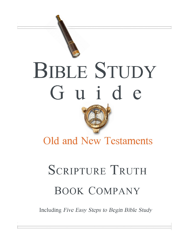

# BIBLE STUDY Guide

## **Old and New Testaments**

# **SCRIPTURE TRUTH BOOK COMPANY**

Including Five Easy Steps to Begin Bible Study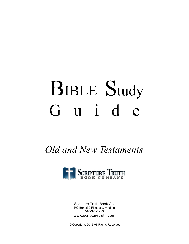# **BIBLE Study** Guide

Old and New Testaments



Scripture Truth Book Co. PO Box 339 Fincastle, Virginia 540-992-1273 www.scripturetruth.com

© Copyright, 2013 All Rights Reserved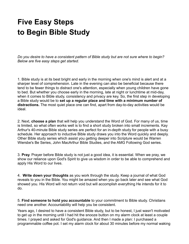### **Five Easy Steps to Begin Bible Study**

*Do you desire to have a consistent pattern of Bible study but are not sure where to begin? Below are five easy steps get started.*

1. Bible study is at its best bright and early in the morning when one's mind is alert and at a sharper level of comprehension. Late in the evening can also be beneficial because there tend to be fewer things to distract one's attention, especially when young children have gone to bed. But whether you choose early in the morning, late at night or lunchtime at mid-day, when it comes to Bible study, consistency and privacy are key. So, the first step in developing a Bible study would be to **set up a regular place and time with a minimum number of distractions.** The most quiet place one can find, apart from day-to-day activities would be ideal.

2. Next, **choose a plan** that will help you understand the Word of God. For many of us, time is limited, so what often works well is to find a short study broken into small increments. Kay Arthur's 40-minute Bible study series are perfect for an in-depth study for people with a busy schedule. Her approach to inductive Bible study draws you into the Word quickly and deeply. Other Bible study series which assist you getting deeper into Scripture would be Warren Wiersbe's Be Series, John MacArthur Bible Studies, and the AMG Following God series.

3. **Pray**. Prayer before Bible study is not just a good idea, it is essential. When we pray, we show our reliance upon God's Spirit to give us wisdom in order to be able to comprehend and apply His Word to our lives.

4. **Write down your thoughts** as you work through the study. Keep a journal of what God reveals to you in the Bible. You might be amazed when you go back later and see what God showed you. His Word will not return void but will accomplish everything He intends for it to do.

5. **Find someone to hold you accountable** to your commitment to Bible study. Christians need one another. Accountability will help you be consistent.

Years ago, I desired to have a consistent Bible study, but to be honest, I just wasn't motivated to get up in the morning until I had hit the snooze button on my alarm clock at least a couple times. I prayed and asked for God's guidance. And then I made a plan: I purchased a programmable coffee pot. I set my alarm clock for about 30 minutes before my normal waking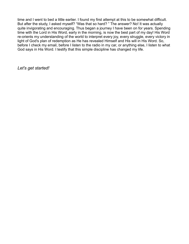time and I went to bed a little earlier. I found my first attempt at this to be somewhat difficult. But after the study, I asked myself? "Was that so hard? " The answer? No! It was actually quite invigorating and encouraging. Thus began a journey I have been on for years. Spending time with the Lord in His Word, early in the morning, is now the best part of my day! His Word re-orients my understanding of the world to interpret every joy, every struggle, every victory in light of God's plan of redemption as He has revealed Himself and His will in His Word. So, before I check my email, before I listen to the radio in my car, or anything else, I listen to what God says in His Word. I testify that this simple discipline has changed my life.

*Let's get started!*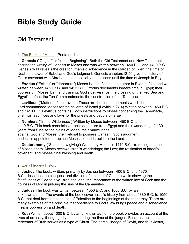### **Bible Study Guide**

#### Old Testament

#### 1. [The Books of Moses](http://www.scripturetruth.com/shop/category.aspx/bible-commentary-penteteuch-old-testament/) (Pentateuch)

a. **Genesis** ("Origins" or "In the Beginning") Both the Old Testament and New Testament ascribe the writing of Genesis to Moses and was written between 1450 B.C. and 1410 B.C. Genesis 1-11 reveals the creation, man's disobedience in the Garden of Eden, the time of Noah, the tower of Babel and God's judgment. Genesis chapters12-50 give the history of God's covenant with Abraham, Isaac, Jacob and his sons until the time of Joseph in Egypt.

b. **Exodus** ("Exiting" or "departure") Moses is identified as the author in Exodus 24:4 and was written between 1450 B.C. and 1425 B.C. Exodus documents Israel's time in Egypt; their oppression; Moses' birth and training; God's deliverance; the crossing of the Red Sea and Egypt's defeat; the Ten Commandments; the construction of the Tabernacle.

c. **Leviticus** ("Matters of the Levites) These are the commandments which the Lord commanded Moses for the children of Israel (Leviticus 27:4) Written between 1450 B.C. and 1410 B.C. Leviticus contains God's instructions to Moses concerning the Tabernacle, offerings, sacrifices and laws for the priests and people of Israel.

d. **Numbers** ("In the Wilderness") Written by Moses between 1450 B.C. and 1410 B.C. This book chronicles Israel's departure from Egypt and their wanderings for 39 years from Sinai to the plains of Moab; their murmurings against God and Moses; their refusal to possess Canaan; God's judgment; Joshua is appointed to replace Moses to lead Israel into the Land.

e. **Deuteronomy** ("Second law giving') Written by Moses in 1410 B.C. excluding the account of Moses death. Moses reviews Israel's wanderings; the Law; the ratification of Israel's covenant; and Moses' final blessing and death.

#### 2. [Early Hebrew History](http://www.scripturetruth.com/shop/category.aspx/historical-books-old-testament-bible-commentary/)

a. **Joshua** The book, written, primarily by Joshua between 1400 B.C. and 1370 B.C., describes the conquest and division of the land of Canaan while showing the faithfulness of God to give Israel the land; the importance of the written law of God: and the holiness of God in judging the sins of the Canaanites.

b. **Judges** The book was written between 1050 B.C. and 1000 B.C. by an unknown author. The events of the book cover Israel's history from about 1380 B.C. to 1050 B.C. that deal from the conquest of Palestine to the beginnings of the monarchy. There are many examples of the principle that obedience to God's law brings peace and disobedience means oppression and death.

c. **Ruth** Written about 1000 B.C. by an unknown author, the book provides an account of the lives of ordinary, though godly people during the time of the judges. Boaz, as the kinsmanredeemer of Ruth serves as a type of Christ. The partial lineage of David, and thus Jesus,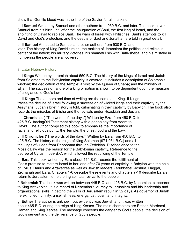show that Gentile blood was in the line of the Savior for all mankind.

d. **I Samuel** Written by Samuel and other authors from 930 B.C. and later. The book covers Samuel from his birth until after the inauguration of Saul, the first king of Israel, and the anointing of David to replace Saul. The wars of Israel with Philistines; Saul's attempts to kill David and God's protection; and the deaths of Saul and Jonathan are told in great detail.

e. **II Samuel** Attributed to Samuel and other authors, from 930 B.C. and later. The history of King David's reign; the making of Jerusalem the political and religious center of the nation; his military victories; his shameful sin with Bath-sheba; and his mistake in numbering the people are all covered.

#### 3. [Later Hebrew History](http://www.scripturetruth.com/shop/category.aspx/historical-books-old-testament-bible-commentary/)

a. **I Kings** Written by Jeremiah about 550 B.C. The history of the kings of Israel and Judah from Solomon to the Babylonian captivity is covered. It includes a description of Solomon's wisdom; the dedication of the Temple; a visit by the Queen of Sheba; and the ministry of Elijah. The success or failure of a king or nation is shown to be dependent upon the measure of allegiance to God's law.

b. **II Kings** The authors and time of writing are the same as I King. II Kings traces the decline of Israel following a succession of wicked kings and their captivity by the Assyrians. Judah's brief history is told, culminating in their captivity by Babylon. The book also records the miracles of Elisha and the revivals under Hezekiah and Josiah.

c. **I Chronicles** ( "The words of the days") Written by Ezra from 450 B.C. to 425 B.C. tracingOld Testament history with a genealogy from Adam to David . The author compiled this book to emphasize the importance of racial and religious purity, the Temple, the priesthood and the Law.

d. **II Chronicles** ("The words of the days") Written by Ezra from 450 B.C. to 425 B.C. The history of the reign of King Solomon (971-931 B.C.) and all the kings of Judah from Rehoboam through Zedekiah. Disobedience to the Mosaic Law was the reason for the Babylonian captivity. Reference to the decree of Cyrus in 539 B.C. which allowed the rebuilding of the Temple

e. **Ezra** This book written by Ezra about 444 B.C. records the fulfillment of God's promise to restore Israel to her land after 70 years of captivity in Babylon with the help of Cyrus, Darius and Artaxerxes as well as Jewish leaders Zerubbabel, Joshua, Haggai, Zechariah and Ezra. Chapters 1-6 describe these events and chapters 7-10 describe Ezra's return to Jerusalem to help bring spiritual revival to the people.

f. **Nehemiah** This book was written between 445 B.C. and 425 B.C. by Nehemiah, cupbearer to King Artaxerxes. It is a record of Nehemiah's journey to Jerusalem and his leadership and organizational skills in getting the walls of Jerusalem rebuilt in 52 days. As governor of Judah he exhibited humility, unselfishness, energy, patriotism and integrity.

g. **Esther** The author is unknown but evidently was Jewish and it was written about 465 B.C. during the reign of King Xerxes. The main characters are Esther, Mordecai, Haman and King Xerxes. The message concerns the danger to God's people, the decision of God's servant and the deliverance of God's people.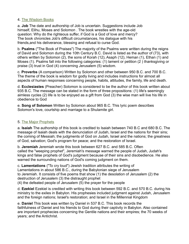#### 4. [The Wisdom Books](http://www.scripturetruth.com/shop/category.aspx/bible-commentary-poetry-wisdom-old-testament/)

a. **Job** The date and authorship of Job is uncertain. Suggestions include Job himself, Elihu, Moses and Solomon . The book wrestles with the age-old question: Why do the righteous suffer, if God is a God of love and mercy? The book chronicles Job's difficult circumstances, his dialogue with his friends,and his deliverance, blessing and refusal to curse God.

b. **Psalms** ("The Book of Praises") The majority of the Psalms were written during the reigns of David and Solomon during the 10th Century B.C. David is listed as the author of (73), with others written by Solomon (2), the sons of Korah (12), Asaph (12), Heman (1), Ethan (1) and Moses (1). Psalms fall into the following categories: (1) lament or petition (2 ) thanksgiving or praise (3) trust in God (4) concerning Jerusalem (5) wisdom.

c. **Proverbs** (A comparison) Written by Solomon and other between 950 B.C. and 700 B.C. The theme of the book is wisdom for godly living and includes instructions for almost all aspects of human responses concerning people, habits, attitudes, the family, life and death.

d. **Ecclesiastes** (Preacher) Solomon is considered to be the author of this book written about 935 B.C. The message can be stated in the form of three propositions: (1) life's seemingly aimless cycles (2) life is to be enjoyed as a gift from God (3) the wise man will live his life in obedience to God

e. **Song of Solomon** Written by Solomon about 965 B.C. This lyric poem describes Solomon's love, courtship and marriage to a Shulamite girl.

#### 5. [The Major Prophets](http://www.scripturetruth.com/shop/category.aspx/bible-commentary-prophets-old-testament/)

a. **Isaiah** The authorship of this book is credited to Isaiah between 740 B.C and 680 B.C. The message of Isaiah deals with the denunciation of Judah, Israel and the nations for their sins; the coming of Messiah; the judgments of God on Judah, Israel and the nations; the greatness of God, salvation; God's program for peace; and the restoration of Israel.

b. **Jeremiah** Jeremiah wrote this book between 627 B.C. and 585 B.C. Often called the "weeping prophet", Jeremiah's message warned the people of Judah, Judah's kings and false prophets of God's judgment because of their sins and disobedience. He also warned the surrounding nations of God's coming judgment on them.

c. **Lamentations** ("To cry loud") Jewish tradition attributes the writing of Lamentations in about 586 B.C., during the Babylonian siege of Jerusalem to Jeremiah. It consists of five poems that show (1) the desolation of Jerusalem (2) the destruction of Jerusalem (3) the distraught prophet (4) the defeated people of Jerusalem (5) the prayer for the people

d. **Ezekiel** Ezekiel is credited with writing this book between 592 B.C. and 570 B.C. during his ministry to the exiles in Babylon. His prophesies included judgment against Judah, Jerusalem and the foreign nations; Israel's restoration; and Israel in the Millennial Kingdom

e. **Daniel** This book was written by Daniel in 537 B.C. This book records the faithfulness of Daniel and his friends to God during their captivity in Babylon. Also contained are important prophecies concerning the Gentile nations and their empires; the 70 weeks of years; and the Antichrist.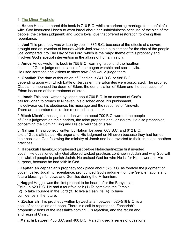#### 6. [The Minor Prophets](http://www.scripturetruth.com/shop/category.aspx/minor-prophets-bible-commentary-old-testament/)

a. **Hosea** Hosea authored this book in 710 B.C. while experiencing marriage to an unfaithful wife. God instructed Hosea to warn Israel about her unfaithfulness because of the sins of the people; the certain judgment; and God's loyal love that offered restoration following their repentance.

b. **Joel** This prophecy was written by Joel in 835 B.C. because of the effects of a severe drought and an invasion of locusts which Joel saw as a punishment for the sins of the people. Joel compared it to The Day of the Lord, which is the major theme of this prophecy and involves God's special intervention in the affairs of human history.

c. **Amos** Amos wrote this book in 755 B.C. warning Israel and the heathen nations of God's judgment because of their pagan worship and social evils. He used sermons and visions to show how God would judge them.

d. **Obadiah** The date of this vision of Obadiah is 841 B.C. or 586 B.C. depending upon with which battle of Jerusalem the Edomites were associated. The prophet Obadiah announced the doom of Edom, the denunciation of Edom and the destruction of Edom because of their treatment of Israel.

e. **Jonah** This book written by Jonah about 760 B.C. is an account of God's call for Jonah to preach to Nineveh, his disobedience, his punishment, his deliverance, his obedience, his message and the response of Nineveh. There are a number of miracles recorded in this book.

f. **Micah** Micah's message to Judah written about 700 B.C. warned the people of God's judgment on their leaders, the false prophets and Jerusalem. He also prophesied concerning the Coming King and His deliverance of Israel.

g. **Nahum** This prophecy written by Nahum between 663 B.C. and 612 B.C. told of God's attributes, His anger and His judgment on Nineveh because they had turned their backs on God following the ministry of Jonah and had reverted to their cruel and heathen practices.

h. **Habakkuk** Habakkuk prophesied just before Nebuchadnezzar first invaded Judah. He questioned why God allowed wicked practices continue in Judah and why God will use wicked people to punish Judah. He praised God for who He is, for His power and His purpose, because he had faith in God.

i. **Zephaniah** Zephaniah's prophecy took place about 625 B.C. as foretold the judgment of Judah, called Judah to repentance, pronounced God's judgment on the Gentile nations and future blessings for Jews and Gentiles during the Millennium.

j. **Haggai** Haggai was the first prophet to be heard after the Babylonian Exile. In 520 B.C. He had a four fold call: (1) To complete the Temple (2) To take courage in the Lord (3) To live a clean life (4) To have confidence in the future.

k. **Zechariah** This prophecy written by Zechariah between 520-518 B.C. is a book of consolation and hope. There is a call to repentance; Zechariah's prophetic visions of the Messiah's coming, His rejection, and the return and and reign of Christ.

l. **Malachi** Between 450 B.C. and 400 B.C. Malachi used a series of questions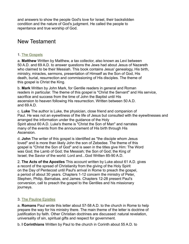and answers to show the people God's love for Israel, their backslidden condition and the nature of God's judgment. He called the people to repentance and true worship of God.

#### New Testament

#### 1. [The Gospels](http://www.scripturetruth.com/shop/category.aspx/gospels-acts-bible-commentary/)

a. **Matthew** Written by Matthew, a tax collector, also known as Levi between 50 A.D. and 69 A.D. to answer questions the Jews had about Jesus of Nazareth who claimed to be their Messiah. This book contains Jesus' genealogy, His birth, ministry, miracles, sermons, presentation of Himself as the Son of God, His death, burial, resurrection and commissioning of His disciples. The theme of this gospel is Christ the King.

b. **Mark** Written by John Mark, for Gentile readers in general and Roman readers in particular. The theme of this gospel is "Christ the Servant" and His service, sacrifice and success from the time of John the Baptist until His ascension to heaven following His resurrection. Written between 50 A.D. and 69 A.D.

c. **Luke** The author is Luke, the physician, close friend and companion of Paul. He was not an eyewitness of the life of Jesus but consulted with the eyewitnesses and arranged the information under the guidance of the Holy Spirit about 60 A.D. Luke's theme is "Christ the Son of Man" and narrates many of the events from the announcement of His birth through His Ascension.

d. **John** The writer of this gospel is identified as "the disciple whom Jesus loved" and is more than likely John the son of Zebedee. The theme of this gospel is "Christ the Son of God" and is seen in the titles give Him: The Word was God; the Lamb of God; the Messiah; the Son of God; the King of Israel; the Savior of the world: Lord and...God Written 85-90 A.D.

2. **The Acts of the Apostles** This account written by Luke about 61 A.D. gives a record of the spread of Christianity from the giving of the Holy Spirit on the Day of Pentecost until Paul's arrival in Rome to preach the gospel, a period of about 30 years. Chapters 1-12 concern the ministry of Peter, Stephen, Philip, Barnabas, and James. Chapters 12-28 present Paul's conversion, call to preach the gospel to the Gentiles and his missionary journeys.

#### 3. [The Pauline Epistles](http://www.scripturetruth.com/shop/category.aspx/bible-commentary-pauline-epistles-apostle-paul-writes-to-churches/)

a. **Romans** Paul wrote this letter about 57-58 A.D. to the church in Rome to help prepare the way for his ministry there. The main theme of the letter is doctrine of justification by faith. Other Christian doctrines are discussed: natural revelation, universality of sin, spiritual gifts and respect for government.

b. **I Corinthians** Written by Paul to the church in Corinth about 55 A.D. to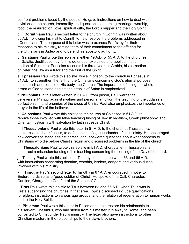confront problems faced by the people. He gave instructions on how to deal with divisions in the church, immorality, and questions concerning marriage, worship, food, the resurrection, love, spiritual gifts, the Lord's supper and the Holy Spirit.

c. **II Corinthians** Paul's second letter to the church in Corinth was written about 56 A.D. following his visit to Corinth to help resolve the problems addressed in I Corinthians. The purpose of this letter was to express Paul's joy for their response to his ministry, remind them of their commitment to the offering for the Christians in Judea and to defend his apostolic authority.

d. **Galatians** Paul wrote this epistle in either 49 A.D. or 55 A.D. to the churches in Galatia. Justification by faith is defended, explained and applied in this portion of Scripture. Paul also recounts his three years in Arabia, his correction of Peter, the law as a tutor and the fruit of the Spirit.

e. **Ephesians** Paul wrote this epistle, while in prison, to the church in Ephesus in 61 A.D. to strengthen the faith of the Christians concerning God's eternal purpose: to establish and complete His body, the Church. The importance of using the whole armor of God to stand against the attacks of Satan is emphasized.

f. **Philippians** In this letter written in 61 A.D. from prison, Paul warns the believers in Philippi against rivalries and personal ambition, the teaching of the Judaizers, perfectionism, and enemies of the cross of Christ. Paul also emphasizes the importance of prayer in the life of the believer.

g. **Colossians** Paul wrote this epistle to the church at Colossae in 61 A.D. to rebuke those involved with false teaching fusing of Jewish legalism, Greek philosophy, and Oriental mysticism with salvation by faith in Jesus Christ.

h. **I Thessalonians** Paul wrote this letter in 51 A.D. to the church at Thessalonica to express his thankfulness, to defend himself against slander of his ministry. He encouraged new converts to stand against persecution, answered questions about what happens to Christians who die before Christ's return and discussed problems in the life of the church.

i. **II Thessalonians** Paul wrote this epistle in 51 A.D. shortly after I Thessalonians to correct a misunderstanding of his teaching concerning the coming of the Day of the Lord.

j. I Timothy Paul wrote this epistle to Timothy sometime between 63 and 66 A.D. with instructions concerning doctrine, worship, leaders, dangers and various duties involved with his ministry.

k. **II Timothy** Paul's second letter to Timothy in 67 A.D. encouraged Timothy to Endure hardship as a "good soldier of Christ'. He spoke of the Call, Character, Caution, Charge and Comfort of the Soldier of Christ.

l. **Titus** Paul wrote this epistle to Titus between 63 and 66 A.D. when Titus was in Crete supervising the churches in that area. Topics discussed include qualifications for elders, instructions to various age groups, and the relation of regeneration to human works and to the Holy Spirit.

m. **Philemon** Paul wrote this letter to Philemon to help restore his relationship to his servant Onesimus, who had stolen from his master, run away to Rome, and been converted to Christ under Paul's ministry. The letter also gave instructions to other Christian masters in the relationships to their slave-brothers.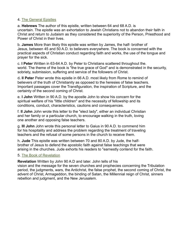#### 4. [The General Epistles](http://www.scripturetruth.com/shop/category.aspx/general-epistles-bible-commentary/)

a. **Hebrews** The author of this epistle, written between 64 and 68 A.D. is uncertain. The epistle was an exhortation to Jewish Christians not to abandon their faith in Christ and return to Judaism as they considered the superiority of the Person, Priesthood and Power of Christ in their lives.

b. **James** More than likely this epistle was written by James, the half- brother of Jesus, between 45 and 50 A.D. to believers everywhere. The book is concerned with the practical aspects of Christian conduct regarding faith and works, the use of the tongue and prayer for the sick.

c. **I Peter** Written in 63-64 A.D. by Peter to Christians scattered throughout the. world. The theme of the book is "the true grace of God" and is demonstrated in the security, sobriety, submission, suffering and service of the followers of Christ.

d**. II Peter** Peter wrote this epistle in 66 A.D. most likely from Rome to remind of believers of the truth of Christianity as opposed to the heresies of false teachers. Important passages cover the Transfiguration, the inspiration of Scripture, and the certainty of the second coming of Christ.

e. **I John** Written in 90 A.D. by the apostle John to show his concern for the spiritual welfare of his "little children" and the necessity of fellowship and its conditions, conduct, characteristics, cautions and consequences.

f. **II John** John wrote this letter to the "elect lady", either an individual Christian and her family or a particular church, to encourage walking in the truth, loving one another and opposing false teachers.

g. **III John** John wrote this personal letter to Gaius in 90 A.D. to commend him for his hospitality and address the problem regarding the treatment of traveling teachers and the refusal of some persons in the church to receive them.

h. **Jude** This epistle was written between 70 and 80 A.D. by Jude, the halfbrother of Jesus to defend the apostolic faith against false teachings that were arising in the churches. Jude exhorts his readers to "earnestly contend for the faith.

#### 5. [The Book of Revelation](http://www.scripturetruth.com/shop/category.aspx/revelation-bible-commentary-new-testament/)

**Revelation** Written by John 90 A.D and later. John tells of his

vision and the message for the seven churches and prophecies concerning the Tribulation period, the judgments, wars, the Antichrist, the false prophet, the second coming of Christ, the advent of Christ, Armageddon, the binding of Satan, the Millennial reign of Christ, sinners rebellion and judgment, and the New Jerusalem.